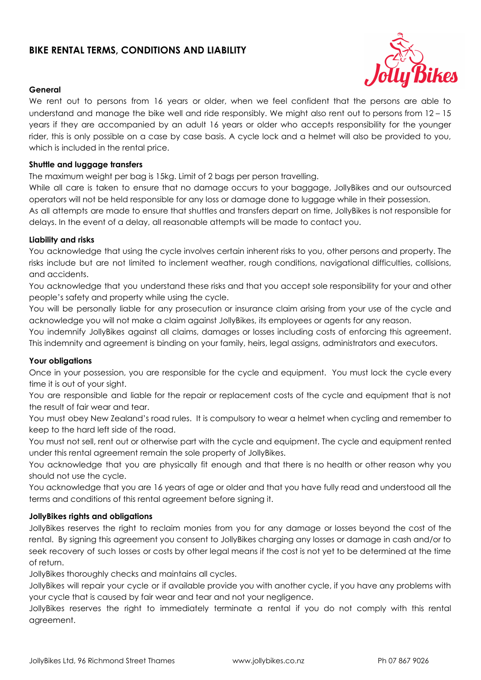# **BIKE RENTAL TERMS, CONDITIONS AND LIABILITY**



# **General**

We rent out to persons from 16 years or older, when we feel confident that the persons are able to understand and manage the bike well and ride responsibly. We might also rent out to persons from 12 – 15 years if they are accompanied by an adult 16 years or older who accepts responsibility for the younger rider, this is only possible on a case by case basis. A cycle lock and a helmet will also be provided to you, which is included in the rental price.

# **Shuttle and luggage transfers**

The maximum weight per bag is 15kg. Limit of 2 bags per person travelling.

While all care is taken to ensure that no damage occurs to your baggage, JollyBikes and our outsourced operators will not be held responsible for any loss or damage done to luggage while in their possession.

As all attempts are made to ensure that shuttles and transfers depart on time, JollyBikes is not responsible for delays. In the event of a delay, all reasonable attempts will be made to contact you.

# **Liability and risks**

You acknowledge that using the cycle involves certain inherent risks to you, other persons and property. The risks include but are not limited to inclement weather, rough conditions, navigational difficulties, collisions, and accidents.

You acknowledge that you understand these risks and that you accept sole responsibility for your and other people's safety and property while using the cycle.

You will be personally liable for any prosecution or insurance claim arising from your use of the cycle and acknowledge you will not make a claim against JollyBikes, its employees or agents for any reason.

You indemnify JollyBikes against all claims, damages or losses including costs of enforcing this agreement. This indemnity and agreement is binding on your family, heirs, legal assigns, administrators and executors.

# **Your obligations**

Once in your possession, you are responsible for the cycle and equipment. You must lock the cycle every time it is out of your sight.

You are responsible and liable for the repair or replacement costs of the cycle and equipment that is not the result of fair wear and tear.

You must obey New Zealand's road rules. It is compulsory to wear a helmet when cycling and remember to keep to the hard left side of the road.

You must not sell, rent out or otherwise part with the cycle and equipment. The cycle and equipment rented under this rental agreement remain the sole property of JollyBikes.

You acknowledge that you are physically fit enough and that there is no health or other reason why you should not use the cycle.

You acknowledge that you are 16 years of age or older and that you have fully read and understood all the terms and conditions of this rental agreement before signing it.

# **JollyBikes rights and obligations**

JollyBikes reserves the right to reclaim monies from you for any damage or losses beyond the cost of the rental. By signing this agreement you consent to JollyBikes charging any losses or damage in cash and/or to seek recovery of such losses or costs by other legal means if the cost is not yet to be determined at the time of return.

JollyBikes thoroughly checks and maintains all cycles.

JollyBikes will repair your cycle or if available provide you with another cycle, if you have any problems with your cycle that is caused by fair wear and tear and not your negligence.

JollyBikes reserves the right to immediately terminate a rental if you do not comply with this rental agreement.